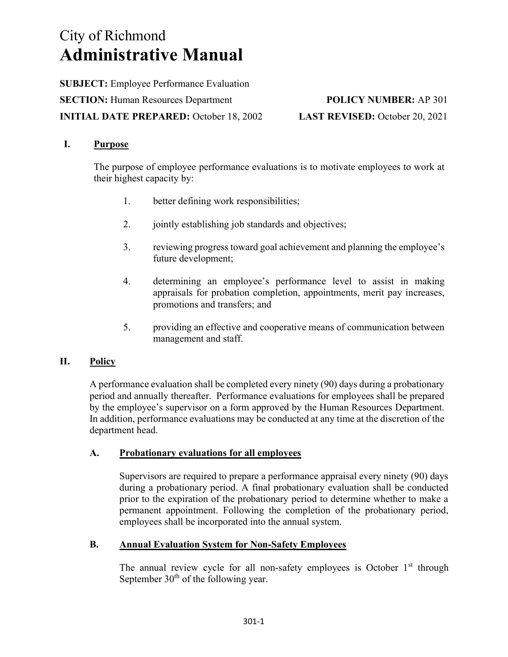# City of Richmond Administrative Manual

SUBJECT: Employee Performance Evaluation SECTION: Human Resources Department POLICY NUMBER: AP 301 INITIAL DATE PREPARED: October 18, 2002 LAST REVISED: October 20, 2021

### I. Purpose

The purpose of employee performance evaluations is to motivate employees to work at their highest capacity by:

- 1. better defining work responsibilities;
- 2. jointly establishing job standards and objectives;
- 3. reviewing progress toward goal achievement and planning the employee's future development;
- 4. determining an employee's performance level to assist in making appraisals for probation completion, appointments, merit pay increases, promotions and transfers; and
- 5. providing an effective and cooperative means of communication between management and staff.

### II. Policy

A performance evaluation shall be completed every ninety (90) days during a probationary period and annually thereafter. Performance evaluations for employees shall be prepared by the employee's supervisor on a form approved by the Human Resources Department. In addition, performance evaluations may be conducted at any time at the discretion of the department head.

### A. Probationary evaluations for all employees

Supervisors are required to prepare a performance appraisal every ninety (90) days during a probationary period. A final probationary evaluation shall be conducted prior to the expiration of the probationary period to determine whether to make a permanent appointment. Following the completion of the probationary period, employees shall be incorporated into the annual system.

### B. Annual Evaluation System for Non-Safety Employees

The annual review cycle for all non-safety employees is October  $1<sup>st</sup>$  through September 30<sup>th</sup> of the following year.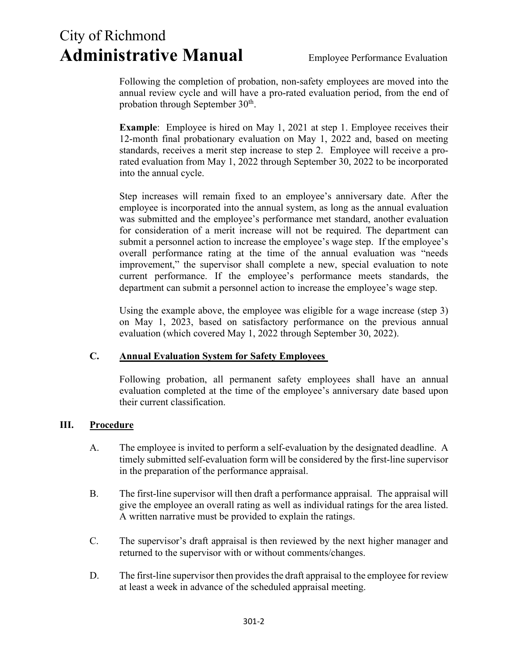## City of Richmond Administrative Manual Employee Performance Evaluation

Following the completion of probation, non-safety employees are moved into the annual review cycle and will have a pro-rated evaluation period, from the end of probation through September  $30<sup>th</sup>$ .

Example: Employee is hired on May 1, 2021 at step 1. Employee receives their 12-month final probationary evaluation on May 1, 2022 and, based on meeting standards, receives a merit step increase to step 2. Employee will receive a prorated evaluation from May 1, 2022 through September 30, 2022 to be incorporated into the annual cycle.

Step increases will remain fixed to an employee's anniversary date. After the employee is incorporated into the annual system, as long as the annual evaluation was submitted and the employee's performance met standard, another evaluation for consideration of a merit increase will not be required. The department can submit a personnel action to increase the employee's wage step. If the employee's overall performance rating at the time of the annual evaluation was "needs improvement," the supervisor shall complete a new, special evaluation to note current performance. If the employee's performance meets standards, the department can submit a personnel action to increase the employee's wage step.

Using the example above, the employee was eligible for a wage increase (step 3) on May 1, 2023, based on satisfactory performance on the previous annual evaluation (which covered May 1, 2022 through September 30, 2022).

### C. Annual Evaluation System for Safety Employees

Following probation, all permanent safety employees shall have an annual evaluation completed at the time of the employee's anniversary date based upon their current classification.

### III. Procedure

- A. The employee is invited to perform a self-evaluation by the designated deadline. A timely submitted self-evaluation form will be considered by the first-line supervisor in the preparation of the performance appraisal.
- B. The first-line supervisor will then draft a performance appraisal. The appraisal will give the employee an overall rating as well as individual ratings for the area listed. A written narrative must be provided to explain the ratings.
- C. The supervisor's draft appraisal is then reviewed by the next higher manager and returned to the supervisor with or without comments/changes.
- D. The first-line supervisor then provides the draft appraisal to the employee for review at least a week in advance of the scheduled appraisal meeting.